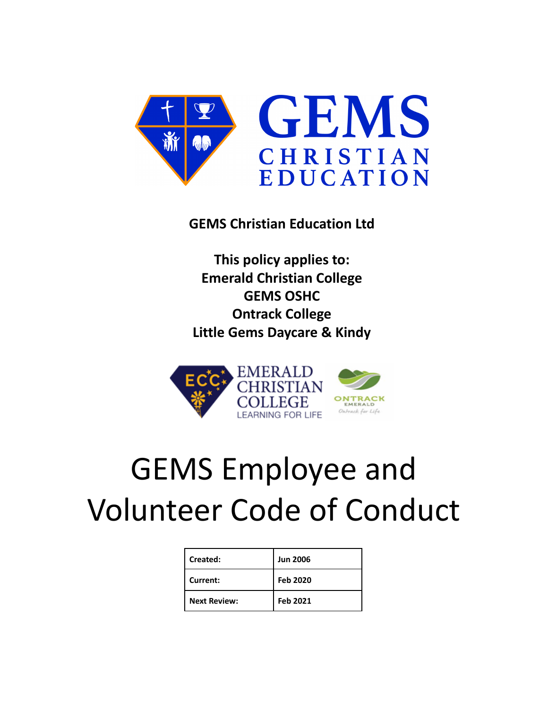

# **GEMS Christian Education Ltd**

**This policy applies to: Emerald Christian College GEMS OSHC Ontrack College Little Gems Daycare & Kindy**



# GEMS Employee and Volunteer Code of Conduct

| Created:            | <b>Jun 2006</b> |
|---------------------|-----------------|
| Current:            | Feb 2020        |
| <b>Next Review:</b> | Feb 2021        |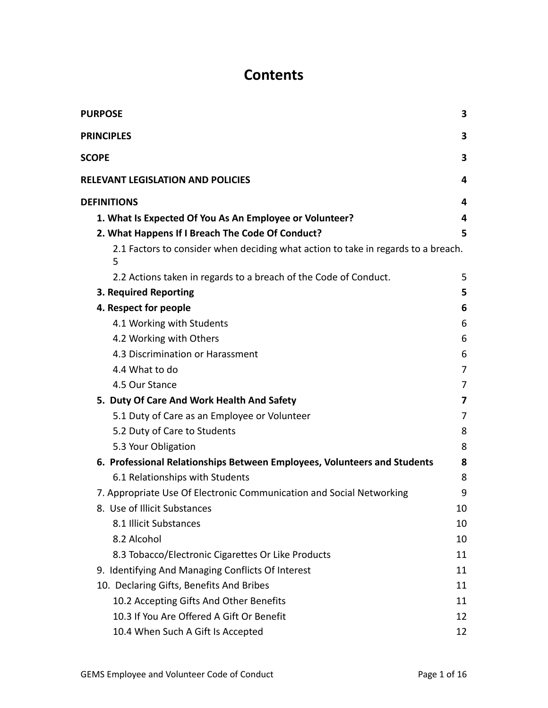# **Contents**

| <b>PURPOSE</b>                                                                         | 3              |
|----------------------------------------------------------------------------------------|----------------|
| <b>PRINCIPLES</b>                                                                      | 3              |
| <b>SCOPE</b>                                                                           | 3              |
| <b>RELEVANT LEGISLATION AND POLICIES</b>                                               | 4              |
| <b>DEFINITIONS</b>                                                                     | 4              |
| 1. What Is Expected Of You As An Employee or Volunteer?                                | 4              |
| 2. What Happens If I Breach The Code Of Conduct?                                       | 5              |
| 2.1 Factors to consider when deciding what action to take in regards to a breach.<br>5 |                |
| 2.2 Actions taken in regards to a breach of the Code of Conduct.                       | 5              |
| 3. Required Reporting                                                                  | 5              |
| 4. Respect for people                                                                  | 6              |
| 4.1 Working with Students                                                              | 6              |
| 4.2 Working with Others                                                                | 6              |
| 4.3 Discrimination or Harassment                                                       | 6              |
| 4.4 What to do                                                                         | 7              |
| 4.5 Our Stance                                                                         | 7              |
| 5. Duty Of Care And Work Health And Safety                                             | 7              |
| 5.1 Duty of Care as an Employee or Volunteer                                           | $\overline{7}$ |
| 5.2 Duty of Care to Students                                                           | 8              |
| 5.3 Your Obligation                                                                    | 8              |
| 6. Professional Relationships Between Employees, Volunteers and Students               | 8              |
| 6.1 Relationships with Students                                                        | 8              |
| 7. Appropriate Use Of Electronic Communication and Social Networking                   | 9              |
| 8. Use of Illicit Substances                                                           | 10             |
| 8.1 Illicit Substances                                                                 | 10             |
| 8.2 Alcohol                                                                            | 10             |
| 8.3 Tobacco/Electronic Cigarettes Or Like Products                                     | 11             |
| 9. Identifying And Managing Conflicts Of Interest                                      | 11             |
| 10. Declaring Gifts, Benefits And Bribes                                               | 11             |
| 10.2 Accepting Gifts And Other Benefits                                                | 11             |
| 10.3 If You Are Offered A Gift Or Benefit                                              | 12             |
| 10.4 When Such A Gift Is Accepted                                                      | 12             |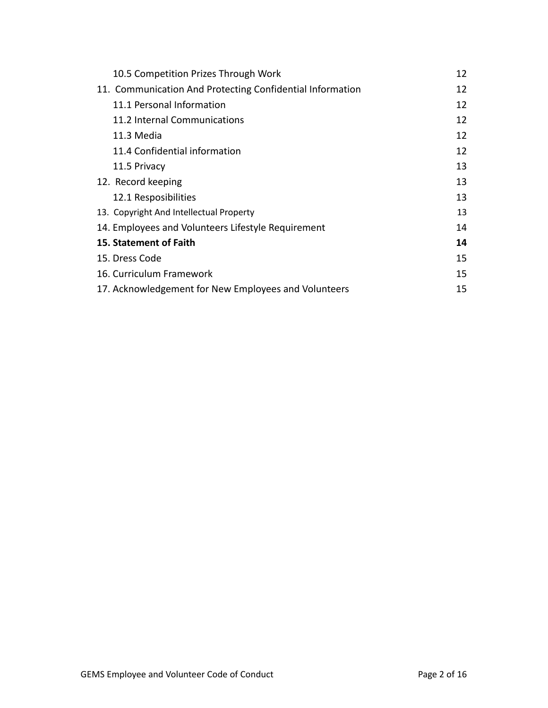| 10.5 Competition Prizes Through Work                      | 12 |
|-----------------------------------------------------------|----|
| 11. Communication And Protecting Confidential Information | 12 |
| 11.1 Personal Information                                 | 12 |
| 11.2 Internal Communications                              | 12 |
| 11.3 Media                                                | 12 |
| 11.4 Confidential information                             | 12 |
| 11.5 Privacy                                              | 13 |
| 12. Record keeping                                        | 13 |
| 12.1 Resposibilities                                      | 13 |
| 13. Copyright And Intellectual Property                   | 13 |
| 14. Employees and Volunteers Lifestyle Requirement        | 14 |
| 15. Statement of Faith                                    | 14 |
| 15. Dress Code                                            | 15 |
| 16. Curriculum Framework                                  | 15 |
| 17. Acknowledgement for New Employees and Volunteers      | 15 |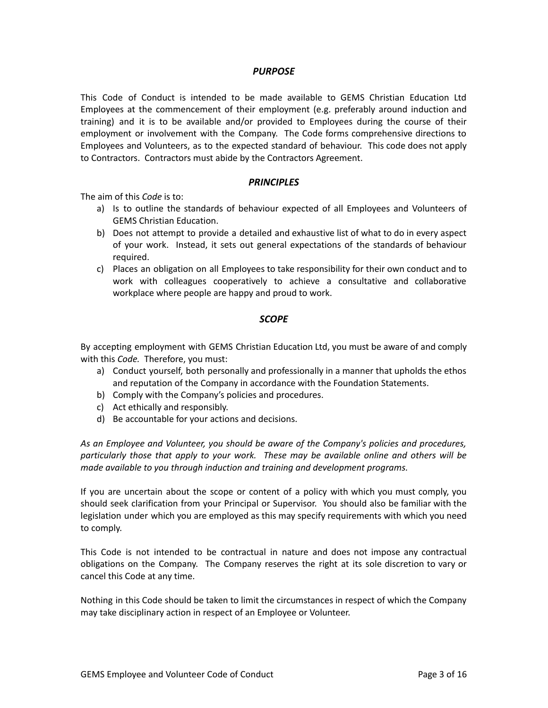#### *PURPOSE*

<span id="page-3-0"></span>This Code of Conduct is intended to be made available to GEMS Christian Education Ltd Employees at the commencement of their employment (e.g. preferably around induction and training) and it is to be available and/or provided to Employees during the course of their employment or involvement with the Company. The Code forms comprehensive directions to Employees and Volunteers, as to the expected standard of behaviour. This code does not apply to Contractors. Contractors must abide by the Contractors Agreement.

#### *PRINCIPLES*

<span id="page-3-1"></span>The aim of this *Code* is to:

- a) Is to outline the standards of behaviour expected of all Employees and Volunteers of GEMS Christian Education.
- b) Does not attempt to provide a detailed and exhaustive list of what to do in every aspect of your work. Instead, it sets out general expectations of the standards of behaviour required.
- c) Places an obligation on all Employees to take responsibility for their own conduct and to work with colleagues cooperatively to achieve a consultative and collaborative workplace where people are happy and proud to work.

#### *SCOPE*

<span id="page-3-2"></span>By accepting employment with GEMS Christian Education Ltd, you must be aware of and comply with this *Code.* Therefore, you must:

- a) Conduct yourself, both personally and professionally in a manner that upholds the ethos and reputation of the Company in accordance with the Foundation Statements.
- b) Comply with the Company's policies and procedures.
- c) Act ethically and responsibly.
- d) Be accountable for your actions and decisions.

*As an Employee and Volunteer, you should be aware of the Company's policies and procedures, particularly those that apply to your work. These may be available online and others will be made available to you through induction and training and development programs.*

If you are uncertain about the scope or content of a policy with which you must comply, you should seek clarification from your Principal or Supervisor. You should also be familiar with the legislation under which you are employed as this may specify requirements with which you need to comply.

This Code is not intended to be contractual in nature and does not impose any contractual obligations on the Company. The Company reserves the right at its sole discretion to vary or cancel this Code at any time.

Nothing in this Code should be taken to limit the circumstances in respect of which the Company may take disciplinary action in respect of an Employee or Volunteer.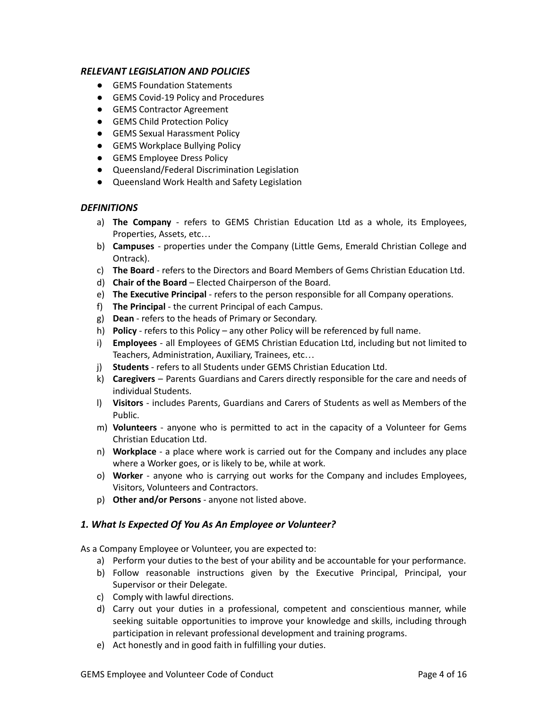# <span id="page-4-0"></span>*RELEVANT LEGISLATION AND POLICIES*

- GEMS Foundation Statements
- GEMS Covid-19 Policy and Procedures
- GEMS Contractor Agreement
- **GEMS Child Protection Policy**
- GEMS Sexual Harassment Policy
- GEMS Workplace Bullying Policy
- **•** GEMS Employee Dress Policy
- Queensland/Federal Discrimination Legislation
- Queensland Work Health and Safety Legislation

#### <span id="page-4-1"></span>*DEFINITIONS*

- a) **The Company** refers to GEMS Christian Education Ltd as a whole, its Employees, Properties, Assets, etc…
- b) **Campuses** properties under the Company (Little Gems, Emerald Christian College and Ontrack).
- c) **The Board** refers to the Directors and Board Members of Gems Christian Education Ltd.
- d) **Chair of the Board** Elected Chairperson of the Board.
- e) **The Executive Principal** refers to the person responsible for all Company operations.
- f) **The Principal** the current Principal of each Campus.
- g) **Dean** refers to the heads of Primary or Secondary.
- h) **Policy** refers to this Policy any other Policy will be referenced by full name.
- i) **Employees** all Employees of GEMS Christian Education Ltd, including but not limited to Teachers, Administration, Auxiliary, Trainees, etc…
- j) **Students** refers to all Students under GEMS Christian Education Ltd.
- k) **Caregivers** Parents Guardians and Carers directly responsible for the care and needs of individual Students.
- l) **Visitors** includes Parents, Guardians and Carers of Students as well as Members of the Public.
- m) **Volunteers** anyone who is permitted to act in the capacity of a Volunteer for Gems Christian Education Ltd.
- n) **Workplace** a place where work is carried out for the Company and includes any place where a Worker goes, or is likely to be, while at work.
- o) **Worker** anyone who is carrying out works for the Company and includes Employees, Visitors, Volunteers and Contractors.
- p) **Other and/or Persons** anyone not listed above.

# <span id="page-4-2"></span>*1. What Is Expected Of You As An Employee or Volunteer?*

As a Company Employee or Volunteer, you are expected to:

- a) Perform your duties to the best of your ability and be accountable for your performance.
- b) Follow reasonable instructions given by the Executive Principal, Principal, your Supervisor or their Delegate.
- c) Comply with lawful directions.
- d) Carry out your duties in a professional, competent and conscientious manner, while seeking suitable opportunities to improve your knowledge and skills, including through participation in relevant professional development and training programs.
- e) Act honestly and in good faith in fulfilling your duties.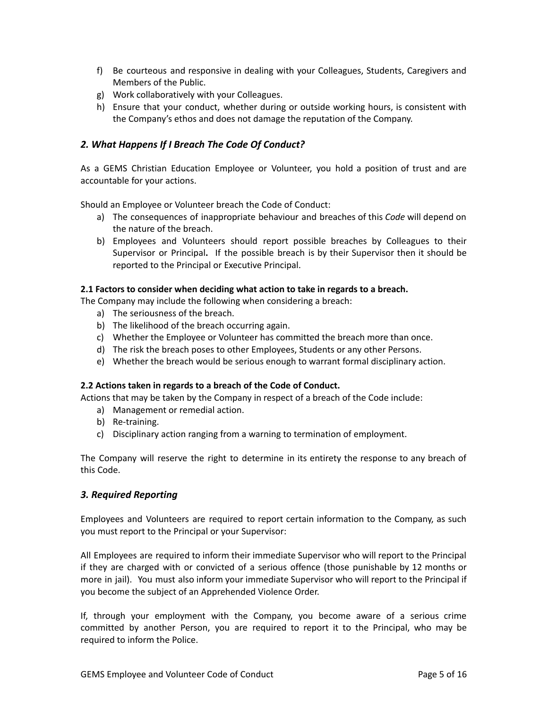- f) Be courteous and responsive in dealing with your Colleagues, Students, Caregivers and Members of the Public.
- g) Work collaboratively with your Colleagues.
- h) Ensure that your conduct, whether during or outside working hours, is consistent with the Company's ethos and does not damage the reputation of the Company.

## <span id="page-5-0"></span>*2. What Happens If I Breach The Code Of Conduct?*

As a GEMS Christian Education Employee or Volunteer, you hold a position of trust and are accountable for your actions.

Should an Employee or Volunteer breach the Code of Conduct:

- a) The consequences of inappropriate behaviour and breaches of this *Code* will depend on the nature of the breach.
- b) Employees and Volunteers should report possible breaches by Colleagues to their Supervisor or Principal**.** If the possible breach is by their Supervisor then it should be reported to the Principal or Executive Principal.

#### <span id="page-5-1"></span>**2.1 Factors to consider when deciding what action to take in regards to a breach.**

The Company may include the following when considering a breach:

- a) The seriousness of the breach.
- b) The likelihood of the breach occurring again.
- c) Whether the Employee or Volunteer has committed the breach more than once.
- d) The risk the breach poses to other Employees, Students or any other Persons.
- e) Whether the breach would be serious enough to warrant formal disciplinary action.

#### <span id="page-5-2"></span>**2.2 Actions taken in regards to a breach of the Code of Conduct.**

Actions that may be taken by the Company in respect of a breach of the Code include:

- a) Management or remedial action.
- b) Re-training.
- c) Disciplinary action ranging from a warning to termination of employment.

The Company will reserve the right to determine in its entirety the response to any breach of this Code.

#### <span id="page-5-3"></span>*3. Required Reporting*

Employees and Volunteers are required to report certain information to the Company, as such you must report to the Principal or your Supervisor:

All Employees are required to inform their immediate Supervisor who will report to the Principal if they are charged with or convicted of a serious offence (those punishable by 12 months or more in jail). You must also inform your immediate Supervisor who will report to the Principal if you become the subject of an Apprehended Violence Order.

If, through your employment with the Company, you become aware of a serious crime committed by another Person, you are required to report it to the Principal, who may be required to inform the Police.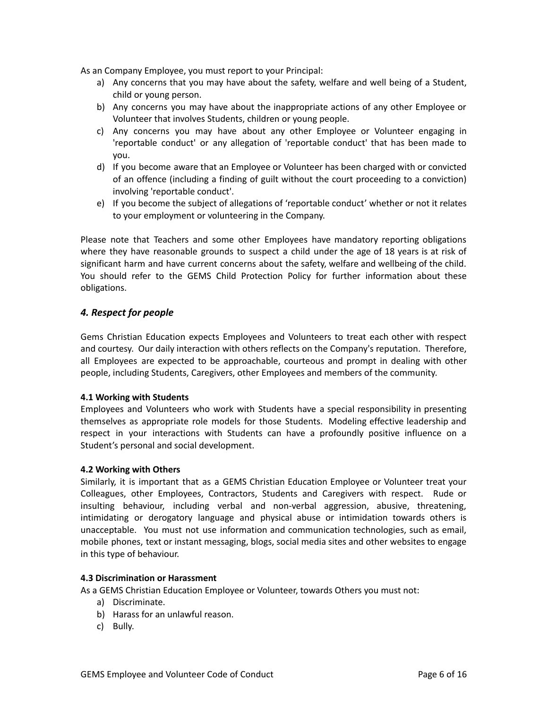As an Company Employee, you must report to your Principal:

- a) Any concerns that you may have about the safety, welfare and well being of a Student, child or young person.
- b) Any concerns you may have about the inappropriate actions of any other Employee or Volunteer that involves Students, children or young people.
- c) Any concerns you may have about any other Employee or Volunteer engaging in 'reportable conduct' or any allegation of 'reportable conduct' that has been made to you.
- d) If you become aware that an Employee or Volunteer has been charged with or convicted of an offence (including a finding of guilt without the court proceeding to a conviction) involving 'reportable conduct'.
- e) If you become the subject of allegations of 'reportable conduct' whether or not it relates to your employment or volunteering in the Company.

Please note that Teachers and some other Employees have mandatory reporting obligations where they have reasonable grounds to suspect a child under the age of 18 years is at risk of significant harm and have current concerns about the safety, welfare and wellbeing of the child. You should refer to the GEMS Child Protection Policy for further information about these obligations.

# <span id="page-6-0"></span>*4. Respect for people*

Gems Christian Education expects Employees and Volunteers to treat each other with respect and courtesy. Our daily interaction with others reflects on the Company's reputation. Therefore, all Employees are expected to be approachable, courteous and prompt in dealing with other people, including Students, Caregivers, other Employees and members of the community.

#### <span id="page-6-1"></span>**4.1 Working with Students**

Employees and Volunteers who work with Students have a special responsibility in presenting themselves as appropriate role models for those Students. Modeling effective leadership and respect in your interactions with Students can have a profoundly positive influence on a Student's personal and social development.

#### <span id="page-6-2"></span>**4.2 Working with Others**

Similarly, it is important that as a GEMS Christian Education Employee or Volunteer treat your Colleagues, other Employees, Contractors, Students and Caregivers with respect. Rude or insulting behaviour, including verbal and non-verbal aggression, abusive, threatening, intimidating or derogatory language and physical abuse or intimidation towards others is unacceptable. You must not use information and communication technologies, such as email, mobile phones, text or instant messaging, blogs, social media sites and other websites to engage in this type of behaviour.

#### <span id="page-6-3"></span>**4.3 Discrimination or Harassment**

As a GEMS Christian Education Employee or Volunteer, towards Others you must not:

- a) Discriminate.
- b) Harass for an unlawful reason.
- c) Bully.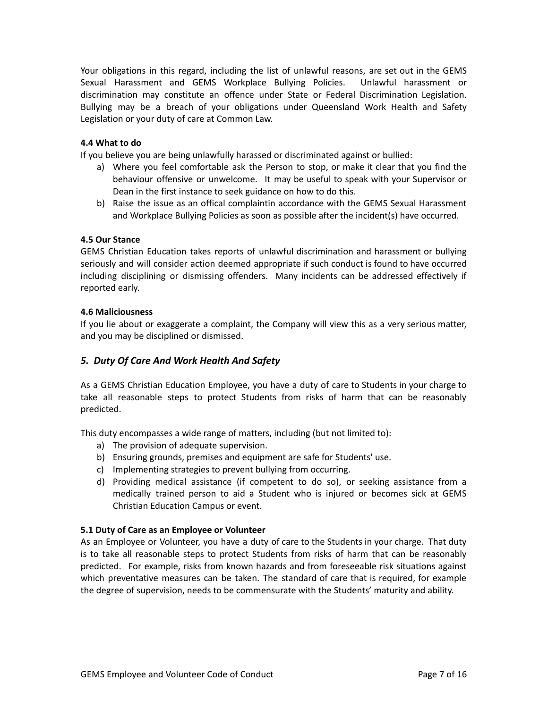Your obligations in this regard, including the list of unlawful reasons, are set out in the GEMS Sexual Harassment and GEMS Workplace Bullying Policies. Unlawful harassment or discrimination may constitute an offence under State or Federal Discrimination Legislation. Bullying may be a breach of your obligations under Queensland Work Health and Safety Legislation or your duty of care at Common Law.

#### <span id="page-7-0"></span>**4.4 What to do**

If you believe you are being unlawfully harassed or discriminated against or bullied:

- a) Where you feel comfortable ask the Person to stop, or make it clear that you find the behaviour offensive or unwelcome. It may be useful to speak with your Supervisor or Dean in the first instance to seek guidance on how to do this.
- b) Raise the issue as an offical complaintin accordance with the GEMS Sexual Harassment and Workplace Bullying Policies as soon as possible after the incident(s) have occurred.

#### <span id="page-7-1"></span>**4.5 Our Stance**

GEMS Christian Education takes reports of unlawful discrimination and harassment or bullying seriously and will consider action deemed appropriate if such conduct is found to have occurred including disciplining or dismissing offenders. Many incidents can be addressed effectively if reported early.

#### **4.6 Maliciousness**

If you lie about or exaggerate a complaint, the Company will view this as a very serious matter, and you may be disciplined or dismissed.

# <span id="page-7-2"></span>*5. Duty Of Care And Work Health And Safety*

As a GEMS Christian Education Employee, you have a duty of care to Students in your charge to take all reasonable steps to protect Students from risks of harm that can be reasonably predicted.

This duty encompasses a wide range of matters, including (but not limited to):

- a) The provision of adequate supervision.
- b) Ensuring grounds, premises and equipment are safe for Students' use.
- c) Implementing strategies to prevent bullying from occurring.
- d) Providing medical assistance (if competent to do so), or seeking assistance from a medically trained person to aid a Student who is injured or becomes sick at GEMS Christian Education Campus or event.

#### <span id="page-7-3"></span>**5.1 Duty of Care as an Employee or Volunteer**

As an Employee or Volunteer, you have a duty of care to the Students in your charge. That duty is to take all reasonable steps to protect Students from risks of harm that can be reasonably predicted. For example, risks from known hazards and from foreseeable risk situations against which preventative measures can be taken. The standard of care that is required, for example the degree of supervision, needs to be commensurate with the Students' maturity and ability.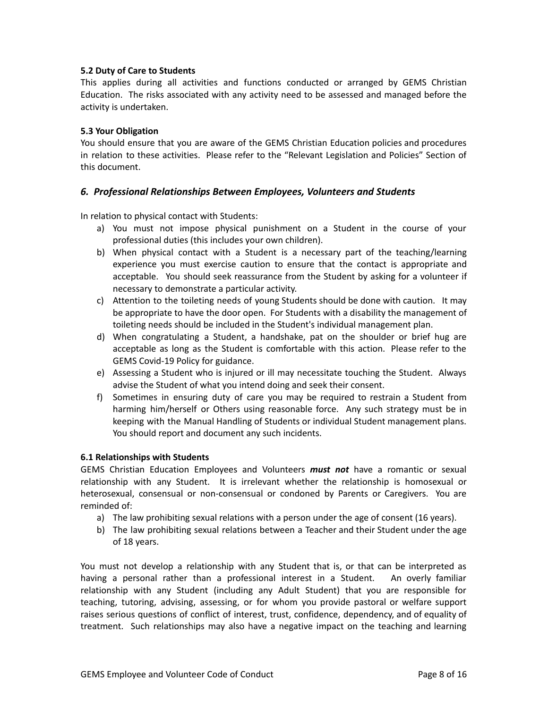#### <span id="page-8-0"></span>**5.2 Duty of Care to Students**

This applies during all activities and functions conducted or arranged by GEMS Christian Education. The risks associated with any activity need to be assessed and managed before the activity is undertaken.

#### <span id="page-8-1"></span>**5.3 Your Obligation**

You should ensure that you are aware of the GEMS Christian Education policies and procedures in relation to these activities. Please refer to the "Relevant Legislation and Policies" Section of this document.

#### <span id="page-8-2"></span>*6. Professional Relationships Between Employees, Volunteers and Students*

In relation to physical contact with Students:

- a) You must not impose physical punishment on a Student in the course of your professional duties (this includes your own children).
- b) When physical contact with a Student is a necessary part of the teaching/learning experience you must exercise caution to ensure that the contact is appropriate and acceptable. You should seek reassurance from the Student by asking for a volunteer if necessary to demonstrate a particular activity.
- c) Attention to the toileting needs of young Students should be done with caution. It may be appropriate to have the door open. For Students with a disability the management of toileting needs should be included in the Student's individual management plan.
- d) When congratulating a Student, a handshake, pat on the shoulder or brief hug are acceptable as long as the Student is comfortable with this action. Please refer to the GEMS Covid-19 Policy for guidance.
- e) Assessing a Student who is injured or ill may necessitate touching the Student. Always advise the Student of what you intend doing and seek their consent.
- f) Sometimes in ensuring duty of care you may be required to restrain a Student from harming him/herself or Others using reasonable force. Any such strategy must be in keeping with the Manual Handling of Students or individual Student management plans. You should report and document any such incidents.

#### <span id="page-8-3"></span>**6.1 Relationships with Students**

GEMS Christian Education Employees and Volunteers *must not* have a romantic or sexual relationship with any Student. It is irrelevant whether the relationship is homosexual or heterosexual, consensual or non-consensual or condoned by Parents or Caregivers. You are reminded of:

- a) The law prohibiting sexual relations with a person under the age of consent (16 years).
- b) The law prohibiting sexual relations between a Teacher and their Student under the age of 18 years.

You must not develop a relationship with any Student that is, or that can be interpreted as having a personal rather than a professional interest in a Student. An overly familiar relationship with any Student (including any Adult Student) that you are responsible for teaching, tutoring, advising, assessing, or for whom you provide pastoral or welfare support raises serious questions of conflict of interest, trust, confidence, dependency, and of equality of treatment. Such relationships may also have a negative impact on the teaching and learning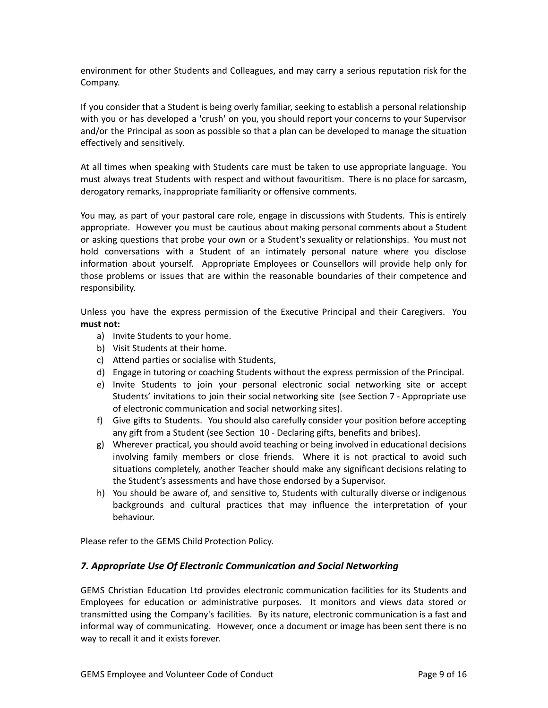environment for other Students and Colleagues, and may carry a serious reputation risk for the Company.

If you consider that a Student is being overly familiar, seeking to establish a personal relationship with you or has developed a 'crush' on you, you should report your concerns to your Supervisor and/or the Principal as soon as possible so that a plan can be developed to manage the situation effectively and sensitively.

At all times when speaking with Students care must be taken to use appropriate language. You must always treat Students with respect and without favouritism. There is no place for sarcasm, derogatory remarks, inappropriate familiarity or offensive comments.

You may, as part of your pastoral care role, engage in discussions with Students. This is entirely appropriate. However you must be cautious about making personal comments about a Student or asking questions that probe your own or a Student's sexuality or relationships. You must not hold conversations with a Student of an intimately personal nature where you disclose information about yourself. Appropriate Employees or Counsellors will provide help only for those problems or issues that are within the reasonable boundaries of their competence and responsibility.

Unless you have the express permission of the Executive Principal and their Caregivers. You **must not:**

- a) Invite Students to your home.
- b) Visit Students at their home.
- c) Attend parties or socialise with Students,
- d) Engage in tutoring or coaching Students without the express permission of the Principal.
- e) Invite Students to join your personal electronic social networking site or accept Students' invitations to join their social networking site (see Section 7 - Appropriate use of electronic communication and social networking sites).
- f) Give gifts to Students. You should also carefully consider your position before accepting any gift from a Student (see Section 10 - Declaring gifts, benefits and bribes).
- g) Wherever practical, you should avoid teaching or being involved in educational decisions involving family members or close friends. Where it is not practical to avoid such situations completely, another Teacher should make any significant decisions relating to the Student's assessments and have those endorsed by a Supervisor.
- h) You should be aware of, and sensitive to, Students with culturally diverse or indigenous backgrounds and cultural practices that may influence the interpretation of your behaviour.

Please refer to the GEMS Child Protection Policy.

#### <span id="page-9-0"></span>*7. Appropriate Use Of Electronic Communication and Social Networking*

GEMS Christian Education Ltd provides electronic communication facilities for its Students and Employees for education or administrative purposes. It monitors and views data stored or transmitted using the Company's facilities. By its nature, electronic communication is a fast and informal way of communicating. However, once a document or image has been sent there is no way to recall it and it exists forever.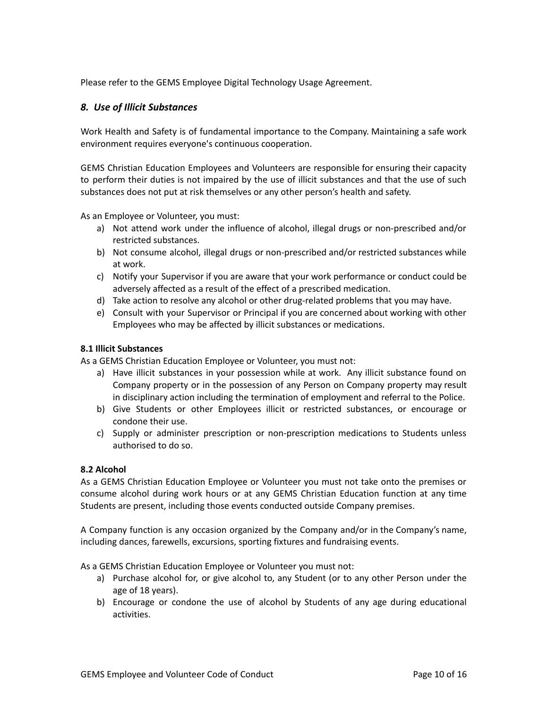Please refer to the GEMS Employee Digital Technology Usage Agreement.

#### <span id="page-10-0"></span>*8. Use of Illicit Substances*

Work Health and Safety is of fundamental importance to the Company. Maintaining a safe work environment requires everyone's continuous cooperation.

GEMS Christian Education Employees and Volunteers are responsible for ensuring their capacity to perform their duties is not impaired by the use of illicit substances and that the use of such substances does not put at risk themselves or any other person's health and safety.

As an Employee or Volunteer, you must:

- a) Not attend work under the influence of alcohol, illegal drugs or non-prescribed and/or restricted substances.
- b) Not consume alcohol, illegal drugs or non-prescribed and/or restricted substances while at work.
- c) Notify your Supervisor if you are aware that your work performance or conduct could be adversely affected as a result of the effect of a prescribed medication.
- d) Take action to resolve any alcohol or other drug-related problems that you may have.
- e) Consult with your Supervisor or Principal if you are concerned about working with other Employees who may be affected by illicit substances or medications.

#### <span id="page-10-1"></span>**8.1 Illicit Substances**

As a GEMS Christian Education Employee or Volunteer, you must not:

- a) Have illicit substances in your possession while at work. Any illicit substance found on Company property or in the possession of any Person on Company property may result in disciplinary action including the termination of employment and referral to the Police.
- b) Give Students or other Employees illicit or restricted substances, or encourage or condone their use.
- c) Supply or administer prescription or non-prescription medications to Students unless authorised to do so.

#### <span id="page-10-2"></span>**8.2 Alcohol**

As a GEMS Christian Education Employee or Volunteer you must not take onto the premises or consume alcohol during work hours or at any GEMS Christian Education function at any time Students are present, including those events conducted outside Company premises.

A Company function is any occasion organized by the Company and/or in the Company's name, including dances, farewells, excursions, sporting fixtures and fundraising events.

As a GEMS Christian Education Employee or Volunteer you must not:

- a) Purchase alcohol for, or give alcohol to, any Student (or to any other Person under the age of 18 years).
- b) Encourage or condone the use of alcohol by Students of any age during educational activities.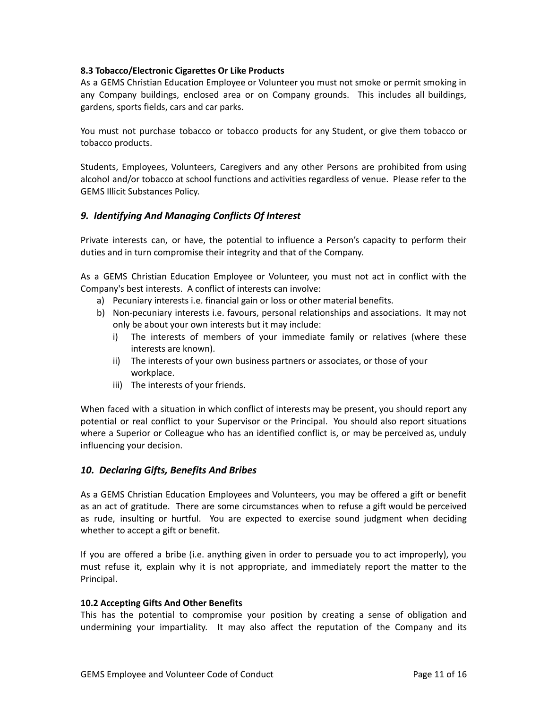#### <span id="page-11-0"></span>**8.3 Tobacco/Electronic Cigarettes Or Like Products**

As a GEMS Christian Education Employee or Volunteer you must not smoke or permit smoking in any Company buildings, enclosed area or on Company grounds. This includes all buildings, gardens, sports fields, cars and car parks.

You must not purchase tobacco or tobacco products for any Student, or give them tobacco or tobacco products.

Students, Employees, Volunteers, Caregivers and any other Persons are prohibited from using alcohol and/or tobacco at school functions and activities regardless of venue. Please refer to the GEMS Illicit Substances Policy.

#### <span id="page-11-1"></span>*9. Identifying And Managing Conflicts Of Interest*

Private interests can, or have, the potential to influence a Person's capacity to perform their duties and in turn compromise their integrity and that of the Company.

As a GEMS Christian Education Employee or Volunteer, you must not act in conflict with the Company's best interests. A conflict of interests can involve:

- a) Pecuniary interests i.e. financial gain or loss or other material benefits.
- b) Non-pecuniary interests i.e. favours, personal relationships and associations. It may not only be about your own interests but it may include:
	- i) The interests of members of your immediate family or relatives (where these interests are known).
	- ii) The interests of your own business partners or associates, or those of your workplace.
	- iii) The interests of your friends.

When faced with a situation in which conflict of interests may be present, you should report any potential or real conflict to your Supervisor or the Principal. You should also report situations where a Superior or Colleague who has an identified conflict is, or may be perceived as, unduly influencing your decision.

#### <span id="page-11-2"></span>*10. Declaring Gifts, Benefits And Bribes*

As a GEMS Christian Education Employees and Volunteers, you may be offered a gift or benefit as an act of gratitude. There are some circumstances when to refuse a gift would be perceived as rude, insulting or hurtful. You are expected to exercise sound judgment when deciding whether to accept a gift or benefit.

If you are offered a bribe (i.e. anything given in order to persuade you to act improperly), you must refuse it, explain why it is not appropriate, and immediately report the matter to the Principal.

#### <span id="page-11-3"></span>**10.2 Accepting Gifts And Other Benefits**

This has the potential to compromise your position by creating a sense of obligation and undermining your impartiality. It may also affect the reputation of the Company and its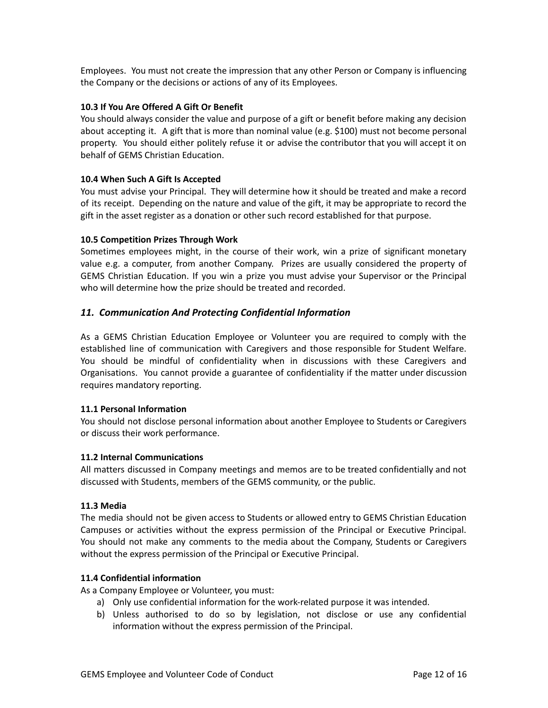Employees. You must not create the impression that any other Person or Company is influencing the Company or the decisions or actions of any of its Employees.

#### <span id="page-12-0"></span>**10.3 If You Are Offered A Gift Or Benefit**

You should always consider the value and purpose of a gift or benefit before making any decision about accepting it. A gift that is more than nominal value (e.g. \$100) must not become personal property. You should either politely refuse it or advise the contributor that you will accept it on behalf of GEMS Christian Education.

#### <span id="page-12-1"></span>**10.4 When Such A Gift Is Accepted**

You must advise your Principal. They will determine how it should be treated and make a record of its receipt. Depending on the nature and value of the gift, it may be appropriate to record the gift in the asset register as a donation or other such record established for that purpose.

#### <span id="page-12-2"></span>**10.5 Competition Prizes Through Work**

Sometimes employees might, in the course of their work, win a prize of significant monetary value e.g. a computer, from another Company. Prizes are usually considered the property of GEMS Christian Education. If you win a prize you must advise your Supervisor or the Principal who will determine how the prize should be treated and recorded.

## <span id="page-12-3"></span>*11. Communication And Protecting Confidential Information*

As a GEMS Christian Education Employee or Volunteer you are required to comply with the established line of communication with Caregivers and those responsible for Student Welfare. You should be mindful of confidentiality when in discussions with these Caregivers and Organisations. You cannot provide a guarantee of confidentiality if the matter under discussion requires mandatory reporting.

#### <span id="page-12-4"></span>**11.1 Personal Information**

You should not disclose personal information about another Employee to Students or Caregivers or discuss their work performance.

#### <span id="page-12-5"></span>**11.2 Internal Communications**

All matters discussed in Company meetings and memos are to be treated confidentially and not discussed with Students, members of the GEMS community, or the public.

#### <span id="page-12-6"></span>**11.3 Media**

The media should not be given access to Students or allowed entry to GEMS Christian Education Campuses or activities without the express permission of the Principal or Executive Principal. You should not make any comments to the media about the Company, Students or Caregivers without the express permission of the Principal or Executive Principal.

#### <span id="page-12-7"></span>**11.4 Confidential information**

As a Company Employee or Volunteer, you must:

- a) Only use confidential information for the work-related purpose it was intended.
- b) Unless authorised to do so by legislation, not disclose or use any confidential information without the express permission of the Principal.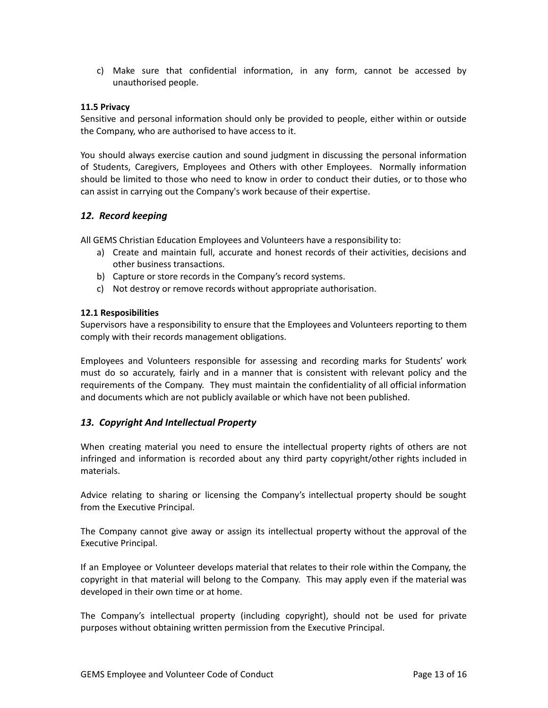c) Make sure that confidential information, in any form, cannot be accessed by unauthorised people.

#### <span id="page-13-0"></span>**11.5 Privacy**

Sensitive and personal information should only be provided to people, either within or outside the Company, who are authorised to have access to it.

You should always exercise caution and sound judgment in discussing the personal information of Students, Caregivers, Employees and Others with other Employees. Normally information should be limited to those who need to know in order to conduct their duties, or to those who can assist in carrying out the Company's work because of their expertise.

#### <span id="page-13-1"></span>*12. Record keeping*

All GEMS Christian Education Employees and Volunteers have a responsibility to:

- a) Create and maintain full, accurate and honest records of their activities, decisions and other business transactions.
- b) Capture or store records in the Company's record systems.
- c) Not destroy or remove records without appropriate authorisation.

#### <span id="page-13-2"></span>**12.1 Resposibilities**

Supervisors have a responsibility to ensure that the Employees and Volunteers reporting to them comply with their records management obligations.

Employees and Volunteers responsible for assessing and recording marks for Students' work must do so accurately, fairly and in a manner that is consistent with relevant policy and the requirements of the Company. They must maintain the confidentiality of all official information and documents which are not publicly available or which have not been published.

#### <span id="page-13-3"></span>*13. Copyright And Intellectual Property*

When creating material you need to ensure the intellectual property rights of others are not infringed and information is recorded about any third party copyright/other rights included in materials.

Advice relating to sharing or licensing the Company's intellectual property should be sought from the Executive Principal.

The Company cannot give away or assign its intellectual property without the approval of the Executive Principal.

If an Employee or Volunteer develops material that relates to their role within the Company, the copyright in that material will belong to the Company. This may apply even if the material was developed in their own time or at home.

The Company's intellectual property (including copyright), should not be used for private purposes without obtaining written permission from the Executive Principal.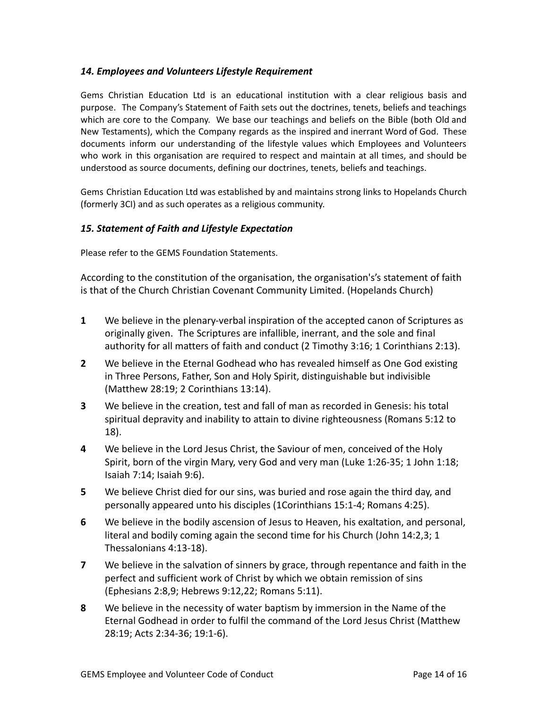# <span id="page-14-0"></span>*14. Employees and Volunteers Lifestyle Requirement*

Gems Christian Education Ltd is an educational institution with a clear religious basis and purpose. The Company's Statement of Faith sets out the doctrines, tenets, beliefs and teachings which are core to the Company. We base our teachings and beliefs on the Bible (both Old and New Testaments), which the Company regards as the inspired and inerrant Word of God. These documents inform our understanding of the lifestyle values which Employees and Volunteers who work in this organisation are required to respect and maintain at all times, and should be understood as source documents, defining our doctrines, tenets, beliefs and teachings.

Gems Christian Education Ltd was established by and maintains strong links to Hopelands Church (formerly 3CI) and as such operates as a religious community.

# <span id="page-14-1"></span>*15. Statement of Faith and Lifestyle Expectation*

Please refer to the GEMS Foundation Statements.

According to the constitution of the organisation, the organisation's's statement of faith is that of the Church Christian Covenant Community Limited. (Hopelands Church)

- **1** We believe in the plenary-verbal inspiration of the accepted canon of Scriptures as originally given. The Scriptures are infallible, inerrant, and the sole and final authority for all matters of faith and conduct (2 Timothy 3:16; 1 Corinthians 2:13).
- **2** We believe in the Eternal Godhead who has revealed himself as One God existing in Three Persons, Father, Son and Holy Spirit, distinguishable but indivisible (Matthew 28:19; 2 Corinthians 13:14).
- **3** We believe in the creation, test and fall of man as recorded in Genesis: his total spiritual depravity and inability to attain to divine righteousness (Romans 5:12 to 18).
- **4** We believe in the Lord Jesus Christ, the Saviour of men, conceived of the Holy Spirit, born of the virgin Mary, very God and very man (Luke 1:26-35; 1 John 1:18; Isaiah 7:14; Isaiah 9:6).
- **5** We believe Christ died for our sins, was buried and rose again the third day, and personally appeared unto his disciples (1Corinthians 15:1-4; Romans 4:25).
- **6** We believe in the bodily ascension of Jesus to Heaven, his exaltation, and personal, literal and bodily coming again the second time for his Church (John 14:2,3; 1 Thessalonians 4:13-18).
- **7** We believe in the salvation of sinners by grace, through repentance and faith in the perfect and sufficient work of Christ by which we obtain remission of sins (Ephesians 2:8,9; Hebrews 9:12,22; Romans 5:11).
- **8** We believe in the necessity of water baptism by immersion in the Name of the Eternal Godhead in order to fulfil the command of the Lord Jesus Christ (Matthew 28:19; Acts 2:34-36; 19:1-6).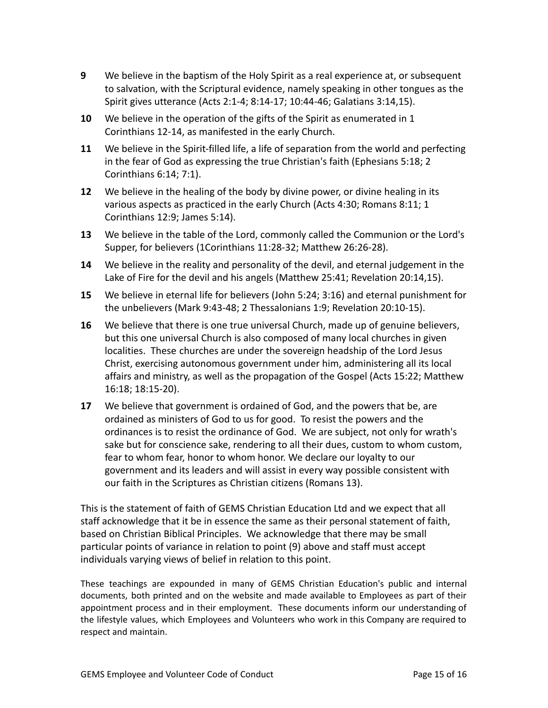- **9** We believe in the baptism of the Holy Spirit as a real experience at, or subsequent to salvation, with the Scriptural evidence, namely speaking in other tongues as the Spirit gives utterance (Acts 2:1-4; 8:14-17; 10:44-46; Galatians 3:14,15).
- **10** We believe in the operation of the gifts of the Spirit as enumerated in 1 Corinthians 12-14, as manifested in the early Church.
- **11** We believe in the Spirit-filled life, a life of separation from the world and perfecting in the fear of God as expressing the true Christian's faith (Ephesians 5:18; 2 Corinthians 6:14; 7:1).
- **12** We believe in the healing of the body by divine power, or divine healing in its various aspects as practiced in the early Church (Acts 4:30; Romans 8:11; 1 Corinthians 12:9; James 5:14).
- **13** We believe in the table of the Lord, commonly called the Communion or the Lord's Supper, for believers (1Corinthians 11:28-32; Matthew 26:26-28).
- **14** We believe in the reality and personality of the devil, and eternal judgement in the Lake of Fire for the devil and his angels (Matthew 25:41; Revelation 20:14,15).
- **15** We believe in eternal life for believers (John 5:24; 3:16) and eternal punishment for the unbelievers (Mark 9:43-48; 2 Thessalonians 1:9; Revelation 20:10-15).
- **16** We believe that there is one true universal Church, made up of genuine believers, but this one universal Church is also composed of many local churches in given localities. These churches are under the sovereign headship of the Lord Jesus Christ, exercising autonomous government under him, administering all its local affairs and ministry, as well as the propagation of the Gospel (Acts 15:22; Matthew 16:18; 18:15-20).
- **17** We believe that government is ordained of God, and the powers that be, are ordained as ministers of God to us for good. To resist the powers and the ordinances is to resist the ordinance of God. We are subject, not only for wrath's sake but for conscience sake, rendering to all their dues, custom to whom custom, fear to whom fear, honor to whom honor. We declare our loyalty to our government and its leaders and will assist in every way possible consistent with our faith in the Scriptures as Christian citizens (Romans 13).

This is the statement of faith of GEMS Christian Education Ltd and we expect that all staff acknowledge that it be in essence the same as their personal statement of faith, based on Christian Biblical Principles. We acknowledge that there may be small particular points of variance in relation to point (9) above and staff must accept individuals varying views of belief in relation to this point.

These teachings are expounded in many of GEMS Christian Education's public and internal documents, both printed and on the website and made available to Employees as part of their appointment process and in their employment. These documents inform our understanding of the lifestyle values, which Employees and Volunteers who work in this Company are required to respect and maintain.